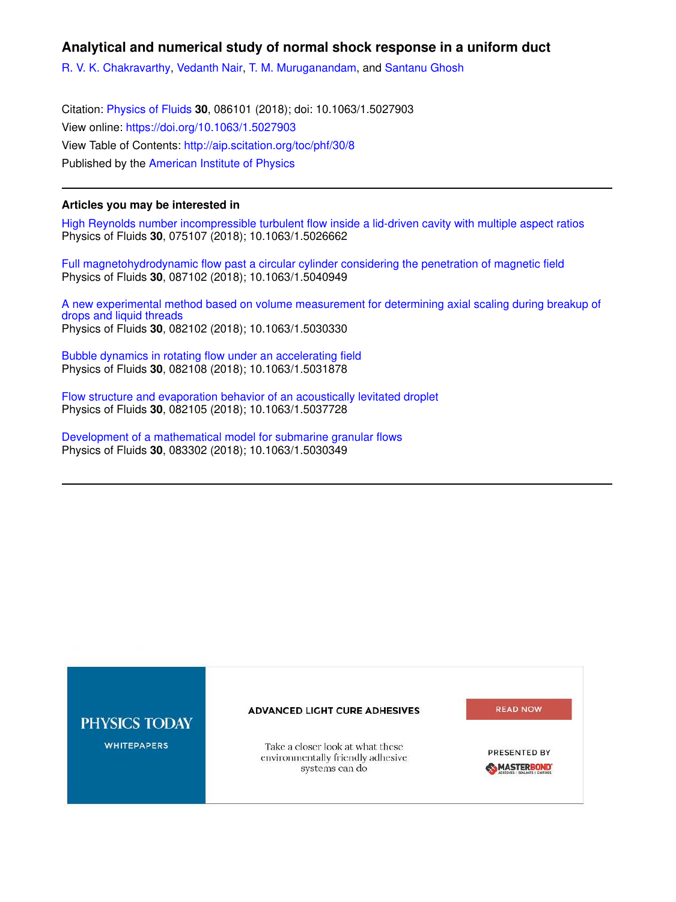# **Analytical and numerical study of normal shock response in a uniform duct**

R. V. K. Chakravarthy, Vedanth Nair, T. M. Muruganandam, and Santanu Ghosh

Citation: Physics of Fluids **30**, 086101 (2018); doi: 10.1063/1.5027903 View online: https://doi.org/10.1063/1.5027903 View Table of Contents: http://aip.scitation.org/toc/phf/30/8 Published by the American Institute of Physics

# **Articles you may be interested in**

High Reynolds number incompressible turbulent flow inside a lid-driven cavity with multiple aspect ratios Physics of Fluids **30**, 075107 (2018); 10.1063/1.5026662

Full magnetohydrodynamic flow past a circular cylinder considering the penetration of magnetic field Physics of Fluids **30**, 087102 (2018); 10.1063/1.5040949

A new experimental method based on volume measurement for determining axial scaling during breakup of drops and liquid threads Physics of Fluids **30**, 082102 (2018); 10.1063/1.5030330

Bubble dynamics in rotating flow under an accelerating field Physics of Fluids **30**, 082108 (2018); 10.1063/1.5031878

Flow structure and evaporation behavior of an acoustically levitated droplet Physics of Fluids **30**, 082105 (2018); 10.1063/1.5037728

Development of a mathematical model for submarine granular flows Physics of Fluids **30**, 083302 (2018); 10.1063/1.5030349

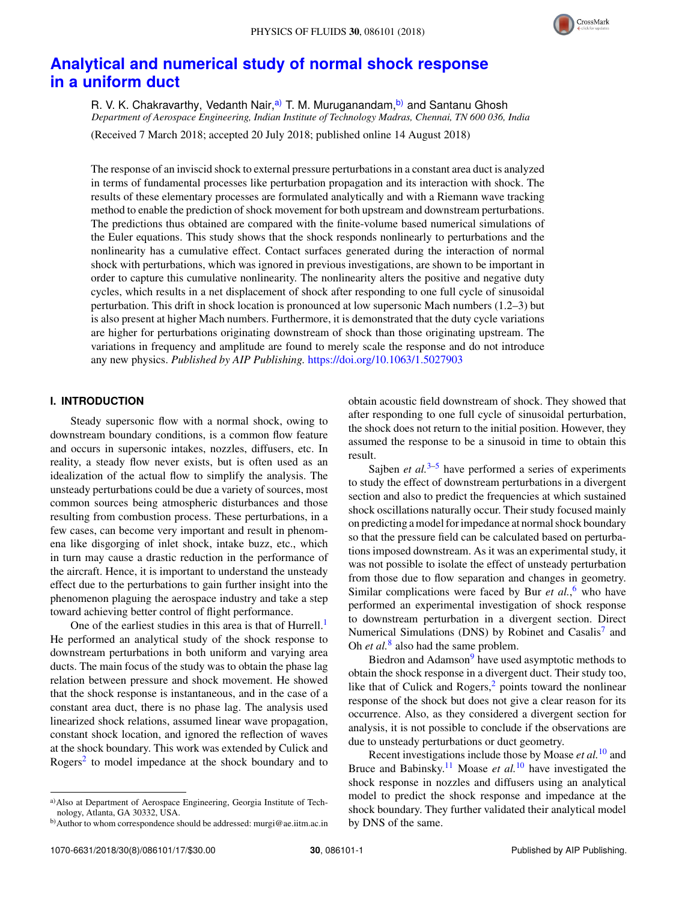

# **Analytical and numerical study of normal shock response in a uniform duct**

R. V. K. Chakravarthy, Vedanth Nair,<sup>a)</sup> T. M. Muruganandam, <sup>b)</sup> and Santanu Ghosh *Department of Aerospace Engineering, Indian Institute of Technology Madras, Chennai, TN 600 036, India*

(Received 7 March 2018; accepted 20 July 2018; published online 14 August 2018)

The response of an inviscid shock to external pressure perturbations in a constant area duct is analyzed in terms of fundamental processes like perturbation propagation and its interaction with shock. The results of these elementary processes are formulated analytically and with a Riemann wave tracking method to enable the prediction of shock movement for both upstream and downstream perturbations. The predictions thus obtained are compared with the finite-volume based numerical simulations of the Euler equations. This study shows that the shock responds nonlinearly to perturbations and the nonlinearity has a cumulative effect. Contact surfaces generated during the interaction of normal shock with perturbations, which was ignored in previous investigations, are shown to be important in order to capture this cumulative nonlinearity. The nonlinearity alters the positive and negative duty cycles, which results in a net displacement of shock after responding to one full cycle of sinusoidal perturbation. This drift in shock location is pronounced at low supersonic Mach numbers (1.2–3) but is also present at higher Mach numbers. Furthermore, it is demonstrated that the duty cycle variations are higher for perturbations originating downstream of shock than those originating upstream. The variations in frequency and amplitude are found to merely scale the response and do not introduce any new physics. *Published by AIP Publishing.* https://doi.org/10.1063/1.5027903

# **I. INTRODUCTION**

Steady supersonic flow with a normal shock, owing to downstream boundary conditions, is a common flow feature and occurs in supersonic intakes, nozzles, diffusers, etc. In reality, a steady flow never exists, but is often used as an idealization of the actual flow to simplify the analysis. The unsteady perturbations could be due a variety of sources, most common sources being atmospheric disturbances and those resulting from combustion process. These perturbations, in a few cases, can become very important and result in phenomena like disgorging of inlet shock, intake buzz, etc., which in turn may cause a drastic reduction in the performance of the aircraft. Hence, it is important to understand the unsteady effect due to the perturbations to gain further insight into the phenomenon plaguing the aerospace industry and take a step toward achieving better control of flight performance.

One of the earliest studies in this area is that of Hurrell.<sup>1</sup> He performed an analytical study of the shock response to downstream perturbations in both uniform and varying area ducts. The main focus of the study was to obtain the phase lag relation between pressure and shock movement. He showed that the shock response is instantaneous, and in the case of a constant area duct, there is no phase lag. The analysis used linearized shock relations, assumed linear wave propagation, constant shock location, and ignored the reflection of waves at the shock boundary. This work was extended by Culick and Rogers<sup>2</sup> to model impedance at the shock boundary and to

obtain acoustic field downstream of shock. They showed that after responding to one full cycle of sinusoidal perturbation, the shock does not return to the initial position. However, they assumed the response to be a sinusoid in time to obtain this result.

Sajben *et al.* $3-5$  have performed a series of experiments to study the effect of downstream perturbations in a divergent section and also to predict the frequencies at which sustained shock oscillations naturally occur. Their study focused mainly on predicting a model for impedance at normal shock boundary so that the pressure field can be calculated based on perturbations imposed downstream. As it was an experimental study, it was not possible to isolate the effect of unsteady perturbation from those due to flow separation and changes in geometry. Similar complications were faced by Bur *et al.*, <sup>6</sup> who have performed an experimental investigation of shock response to downstream perturbation in a divergent section. Direct Numerical Simulations (DNS) by Robinet and Casalis<sup>7</sup> and Oh *et al.*<sup>8</sup> also had the same problem.

Biedron and Adamson<sup>9</sup> have used asymptotic methods to obtain the shock response in a divergent duct. Their study too, like that of Culick and Rogers, $<sup>2</sup>$  points toward the nonlinear</sup> response of the shock but does not give a clear reason for its occurrence. Also, as they considered a divergent section for analysis, it is not possible to conclude if the observations are due to unsteady perturbations or duct geometry.

Recent investigations include those by Moase *et al.*<sup>10</sup> and Bruce and Babinsky.<sup>11</sup> Moase *et al.*<sup>10</sup> have investigated the shock response in nozzles and diffusers using an analytical model to predict the shock response and impedance at the shock boundary. They further validated their analytical model by DNS of the same.

a)Also at Department of Aerospace Engineering, Georgia Institute of Technology, Atlanta, GA 30332, USA.

 $(b)$ Author to whom correspondence should be addressed: murgi@ae.iitm.ac.in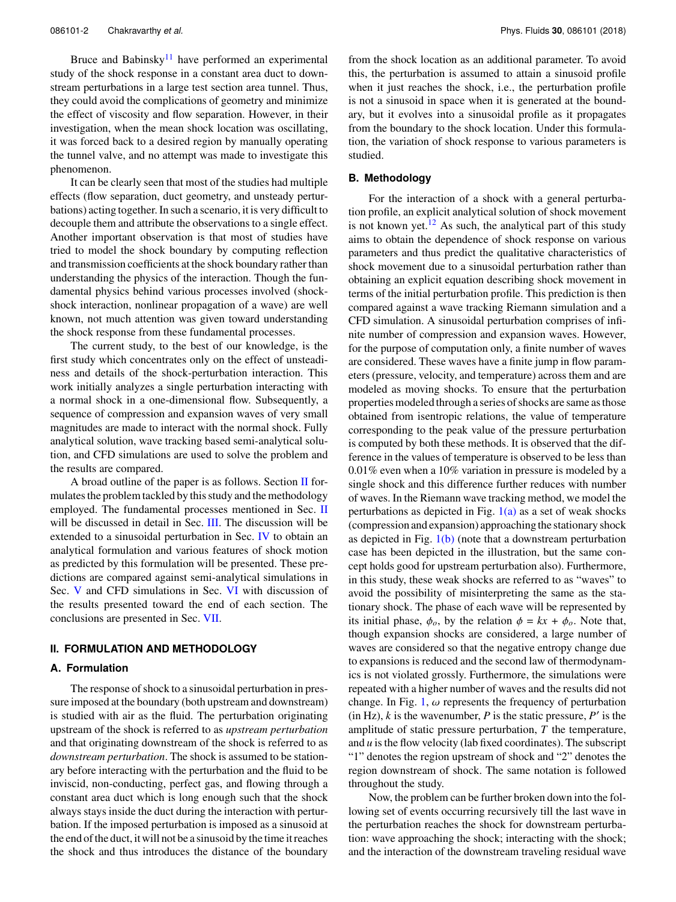Bruce and Babinsky $11$  have performed an experimental study of the shock response in a constant area duct to downstream perturbations in a large test section area tunnel. Thus, they could avoid the complications of geometry and minimize the effect of viscosity and flow separation. However, in their investigation, when the mean shock location was oscillating, it was forced back to a desired region by manually operating the tunnel valve, and no attempt was made to investigate this phenomenon.

It can be clearly seen that most of the studies had multiple effects (flow separation, duct geometry, and unsteady perturbations) acting together. In such a scenario, it is very difficult to decouple them and attribute the observations to a single effect. Another important observation is that most of studies have tried to model the shock boundary by computing reflection and transmission coefficients at the shock boundary rather than understanding the physics of the interaction. Though the fundamental physics behind various processes involved (shockshock interaction, nonlinear propagation of a wave) are well known, not much attention was given toward understanding the shock response from these fundamental processes.

The current study, to the best of our knowledge, is the first study which concentrates only on the effect of unsteadiness and details of the shock-perturbation interaction. This work initially analyzes a single perturbation interacting with a normal shock in a one-dimensional flow. Subsequently, a sequence of compression and expansion waves of very small magnitudes are made to interact with the normal shock. Fully analytical solution, wave tracking based semi-analytical solution, and CFD simulations are used to solve the problem and the results are compared.

A broad outline of the paper is as follows. Section II formulates the problem tackled by this study and the methodology employed. The fundamental processes mentioned in Sec. II will be discussed in detail in Sec. III. The discussion will be extended to a sinusoidal perturbation in Sec. IV to obtain an analytical formulation and various features of shock motion as predicted by this formulation will be presented. These predictions are compared against semi-analytical simulations in Sec. V and CFD simulations in Sec. VI with discussion of the results presented toward the end of each section. The conclusions are presented in Sec. VII.

## **II. FORMULATION AND METHODOLOGY**

## **A. Formulation**

The response of shock to a sinusoidal perturbation in pressure imposed at the boundary (both upstream and downstream) is studied with air as the fluid. The perturbation originating upstream of the shock is referred to as *upstream perturbation* and that originating downstream of the shock is referred to as *downstream perturbation*. The shock is assumed to be stationary before interacting with the perturbation and the fluid to be inviscid, non-conducting, perfect gas, and flowing through a constant area duct which is long enough such that the shock always stays inside the duct during the interaction with perturbation. If the imposed perturbation is imposed as a sinusoid at the end of the duct, it will not be a sinusoid by the time it reaches the shock and thus introduces the distance of the boundary

from the shock location as an additional parameter. To avoid this, the perturbation is assumed to attain a sinusoid profile when it just reaches the shock, i.e., the perturbation profile is not a sinusoid in space when it is generated at the boundary, but it evolves into a sinusoidal profile as it propagates from the boundary to the shock location. Under this formulation, the variation of shock response to various parameters is studied.

# **B. Methodology**

For the interaction of a shock with a general perturbation profile, an explicit analytical solution of shock movement is not known yet.<sup>12</sup> As such, the analytical part of this study aims to obtain the dependence of shock response on various parameters and thus predict the qualitative characteristics of shock movement due to a sinusoidal perturbation rather than obtaining an explicit equation describing shock movement in terms of the initial perturbation profile. This prediction is then compared against a wave tracking Riemann simulation and a CFD simulation. A sinusoidal perturbation comprises of infinite number of compression and expansion waves. However, for the purpose of computation only, a finite number of waves are considered. These waves have a finite jump in flow parameters (pressure, velocity, and temperature) across them and are modeled as moving shocks. To ensure that the perturbation properties modeled through a series of shocks are same as those obtained from isentropic relations, the value of temperature corresponding to the peak value of the pressure perturbation is computed by both these methods. It is observed that the difference in the values of temperature is observed to be less than 0.01% even when a 10% variation in pressure is modeled by a single shock and this difference further reduces with number of waves. In the Riemann wave tracking method, we model the perturbations as depicted in Fig.  $1(a)$  as a set of weak shocks (compression and expansion) approaching the stationary shock as depicted in Fig.  $1(b)$  (note that a downstream perturbation case has been depicted in the illustration, but the same concept holds good for upstream perturbation also). Furthermore, in this study, these weak shocks are referred to as "waves" to avoid the possibility of misinterpreting the same as the stationary shock. The phase of each wave will be represented by its initial phase,  $\phi_o$ , by the relation  $\phi = kx + \phi_o$ . Note that, though expansion shocks are considered, a large number of waves are considered so that the negative entropy change due to expansions is reduced and the second law of thermodynamics is not violated grossly. Furthermore, the simulations were repeated with a higher number of waves and the results did not change. In Fig. 1,  $\omega$  represents the frequency of perturbation  $(in Hz)$ ,  $k$  is the wavenumber,  $P$  is the static pressure,  $P'$  is the amplitude of static pressure perturbation, *T* the temperature, and *u* is the flow velocity (lab fixed coordinates). The subscript "1" denotes the region upstream of shock and "2" denotes the region downstream of shock. The same notation is followed throughout the study.

Now, the problem can be further broken down into the following set of events occurring recursively till the last wave in the perturbation reaches the shock for downstream perturbation: wave approaching the shock; interacting with the shock; and the interaction of the downstream traveling residual wave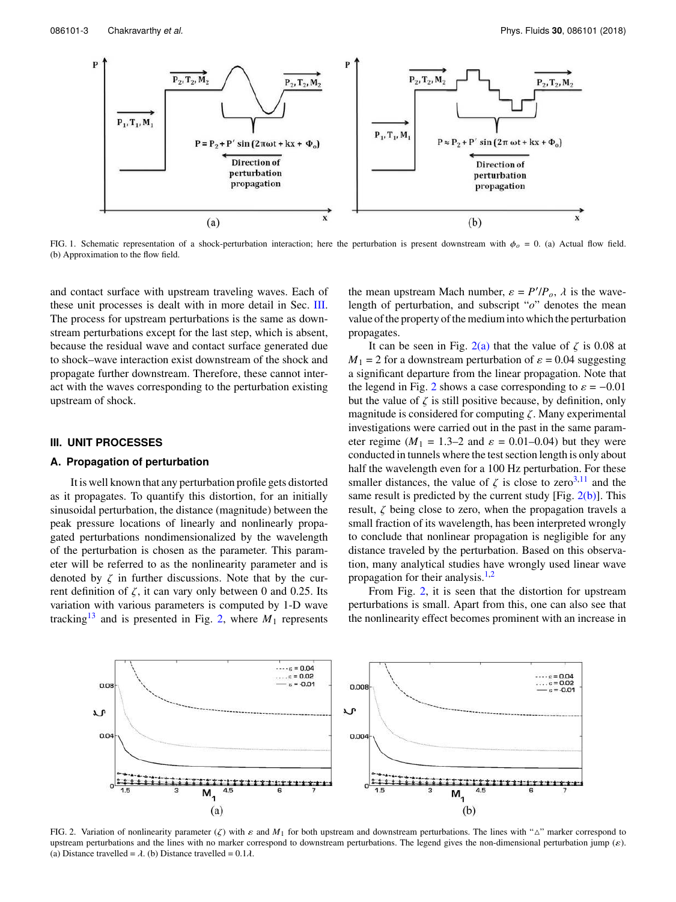

FIG. 1. Schematic representation of a shock-perturbation interaction; here the perturbation is present downstream with  $\phi_o = 0$ . (a) Actual flow field. (b) Approximation to the flow field.

and contact surface with upstream traveling waves. Each of these unit processes is dealt with in more detail in Sec. III. The process for upstream perturbations is the same as downstream perturbations except for the last step, which is absent, because the residual wave and contact surface generated due to shock–wave interaction exist downstream of the shock and propagate further downstream. Therefore, these cannot interact with the waves corresponding to the perturbation existing upstream of shock.

#### **III. UNIT PROCESSES**

## **A. Propagation of perturbation**

It is well known that any perturbation profile gets distorted as it propagates. To quantify this distortion, for an initially sinusoidal perturbation, the distance (magnitude) between the peak pressure locations of linearly and nonlinearly propagated perturbations nondimensionalized by the wavelength of the perturbation is chosen as the parameter. This parameter will be referred to as the nonlinearity parameter and is denoted by  $\zeta$  in further discussions. Note that by the current definition of  $\zeta$ , it can vary only between 0 and 0.25. Its variation with various parameters is computed by 1-D wave tracking<sup>13</sup> and is presented in Fig. 2, where  $M_1$  represents

the mean upstream Mach number,  $\varepsilon = P'/P_o$ ,  $\lambda$  is the wavelength of perturbation, and subscript "*o*" denotes the mean value of the property of the medium into which the perturbation propagates.

It can be seen in Fig. 2(a) that the value of  $\zeta$  is 0.08 at  $M_1 = 2$  for a downstream perturbation of  $\varepsilon = 0.04$  suggesting a significant departure from the linear propagation. Note that the legend in Fig. 2 shows a case corresponding to  $\varepsilon = -0.01$ but the value of  $\zeta$  is still positive because, by definition, only magnitude is considered for computing  $\zeta$ . Many experimental investigations were carried out in the past in the same parameter regime ( $M_1 = 1.3{\text -}2$  and  $\varepsilon = 0.01{\text -}0.04$ ) but they were conducted in tunnels where the test section length is only about half the wavelength even for a 100 Hz perturbation. For these smaller distances, the value of  $\zeta$  is close to zero<sup>3,11</sup> and the same result is predicted by the current study [Fig.  $2(b)$ ]. This result,  $\zeta$  being close to zero, when the propagation travels a small fraction of its wavelength, has been interpreted wrongly to conclude that nonlinear propagation is negligible for any distance traveled by the perturbation. Based on this observation, many analytical studies have wrongly used linear wave propagation for their analysis. $1,2$ 

From Fig. 2, it is seen that the distortion for upstream perturbations is small. Apart from this, one can also see that the nonlinearity effect becomes prominent with an increase in



FIG. 2. Variation of nonlinearity parameter ( $\zeta$ ) with  $\varepsilon$  and  $M_1$  for both upstream and downstream perturbations. The lines with " $\triangle$ " marker correspond to upstream perturbations and the lines with no marker correspond to downstream perturbations. The legend gives the non-dimensional perturbation jump  $(\varepsilon)$ . (a) Distance travelled =  $\lambda$ . (b) Distance travelled = 0.1 $\lambda$ .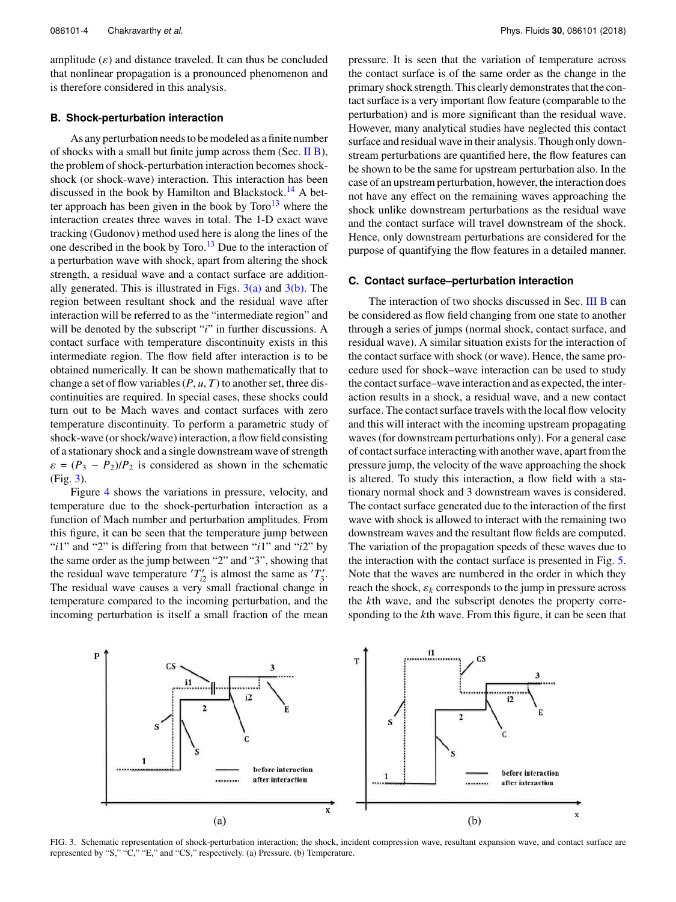amplitude  $(\varepsilon)$  and distance traveled. It can thus be concluded that nonlinear propagation is a pronounced phenomenon and is therefore considered in this analysis.

### **B. Shock-perturbation interaction**

As any perturbation needs to be modeled as a finite number of shocks with a small but finite jump across them (Sec. II B), the problem of shock-perturbation interaction becomes shockshock (or shock-wave) interaction. This interaction has been discussed in the book by Hamilton and Blackstock.<sup>14</sup> A better approach has been given in the book by  $Toro<sup>13</sup>$  where the interaction creates three waves in total. The 1-D exact wave tracking (Gudonov) method used here is along the lines of the one described in the book by Toro.<sup>13</sup> Due to the interaction of a perturbation wave with shock, apart from altering the shock strength, a residual wave and a contact surface are additionally generated. This is illustrated in Figs.  $3(a)$  and  $3(b)$ . The region between resultant shock and the residual wave after interaction will be referred to as the "intermediate region" and will be denoted by the subscript "*i*" in further discussions. A contact surface with temperature discontinuity exists in this intermediate region. The flow field after interaction is to be obtained numerically. It can be shown mathematically that to change a set of flow variables (*P*, *u*, *T*) to another set, three discontinuities are required. In special cases, these shocks could turn out to be Mach waves and contact surfaces with zero temperature discontinuity. To perform a parametric study of shock-wave (or shock/wave) interaction, a flow field consisting of a stationary shock and a single downstream wave of strength  $\varepsilon = (P_3 - P_2)/P_2$  is considered as shown in the schematic (Fig. 3).

Figure 4 shows the variations in pressure, velocity, and temperature due to the shock-perturbation interaction as a function of Mach number and perturbation amplitudes. From this figure, it can be seen that the temperature jump between "*i*1" and "2" is differing from that between "*i*1" and "*i*2" by the same order as the jump between "2" and "3", showing that the residual wave temperature  $'T'_{i2}$  is almost the same as  $'T'_{i2}$ . The residual wave causes a very small fractional change in temperature compared to the incoming perturbation, and the incoming perturbation is itself a small fraction of the mean

pressure. It is seen that the variation of temperature across the contact surface is of the same order as the change in the primary shock strength. This clearly demonstrates that the contact surface is a very important flow feature (comparable to the perturbation) and is more significant than the residual wave. However, many analytical studies have neglected this contact surface and residual wave in their analysis. Though only downstream perturbations are quantified here, the flow features can be shown to be the same for upstream perturbation also. In the case of an upstream perturbation, however, the interaction does not have any effect on the remaining waves approaching the shock unlike downstream perturbations as the residual wave and the contact surface will travel downstream of the shock. Hence, only downstream perturbations are considered for the purpose of quantifying the flow features in a detailed manner.

#### **C. Contact surface–perturbation interaction**

The interaction of two shocks discussed in Sec. III B can be considered as flow field changing from one state to another through a series of jumps (normal shock, contact surface, and residual wave). A similar situation exists for the interaction of the contact surface with shock (or wave). Hence, the same procedure used for shock–wave interaction can be used to study the contact surface–wave interaction and as expected, the interaction results in a shock, a residual wave, and a new contact surface. The contact surface travels with the local flow velocity and this will interact with the incoming upstream propagating waves (for downstream perturbations only). For a general case of contact surface interacting with another wave, apart from the pressure jump, the velocity of the wave approaching the shock is altered. To study this interaction, a flow field with a stationary normal shock and 3 downstream waves is considered. The contact surface generated due to the interaction of the first wave with shock is allowed to interact with the remaining two downstream waves and the resultant flow fields are computed. The variation of the propagation speeds of these waves due to the interaction with the contact surface is presented in Fig. 5. Note that the waves are numbered in the order in which they reach the shock,  $\varepsilon_k$  corresponds to the jump in pressure across the *k*th wave, and the subscript denotes the property corresponding to the *k*th wave. From this figure, it can be seen that



FIG. 3. Schematic representation of shock-perturbation interaction; the shock, incident compression wave, resultant expansion wave, and contact surface are represented by "S," "C," "E," and "CS," respectively. (a) Pressure. (b) Temperature.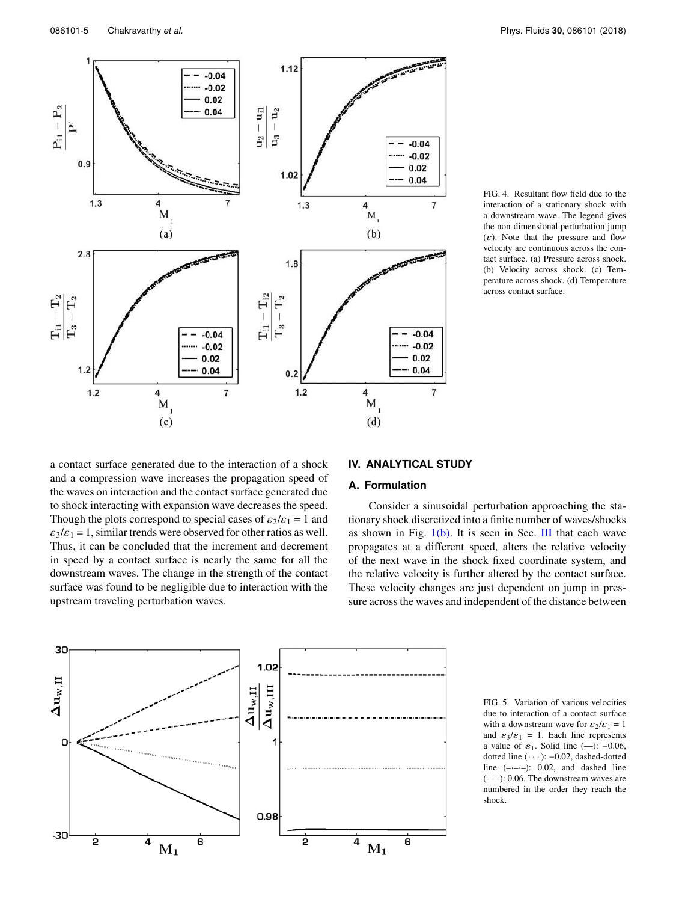

FIG. 4. Resultant flow field due to the interaction of a stationary shock with a downstream wave. The legend gives the non-dimensional perturbation jump  $(\varepsilon)$ . Note that the pressure and flow velocity are continuous across the contact surface. (a) Pressure across shock. (b) Velocity across shock. (c) Temperature across shock. (d) Temperature across contact surface.

a contact surface generated due to the interaction of a shock and a compression wave increases the propagation speed of the waves on interaction and the contact surface generated due to shock interacting with expansion wave decreases the speed. Though the plots correspond to special cases of  $\varepsilon_2/\varepsilon_1 = 1$  and  $\varepsilon_3/\varepsilon_1 = 1$ , similar trends were observed for other ratios as well. Thus, it can be concluded that the increment and decrement in speed by a contact surface is nearly the same for all the downstream waves. The change in the strength of the contact surface was found to be negligible due to interaction with the upstream traveling perturbation waves.

# **IV. ANALYTICAL STUDY**

## **A. Formulation**

Consider a sinusoidal perturbation approaching the stationary shock discretized into a finite number of waves/shocks as shown in Fig.  $1(b)$ . It is seen in Sec. III that each wave propagates at a different speed, alters the relative velocity of the next wave in the shock fixed coordinate system, and the relative velocity is further altered by the contact surface. These velocity changes are just dependent on jump in pressure across the waves and independent of the distance between



FIG. 5. Variation of various velocities due to interaction of a contact surface with a downstream wave for  $\varepsilon_2/\varepsilon_1 = 1$ and  $\varepsilon_3/\varepsilon_1 = 1$ . Each line represents a value of  $\varepsilon_1$ . Solid line (—): -0.06, dotted line (· · · ): −0.02, dashed-dotted line  $(-\cdot-\cdot-)$ : 0.02, and dashed line (- - -): 0.06. The downstream waves are numbered in the order they reach the shock.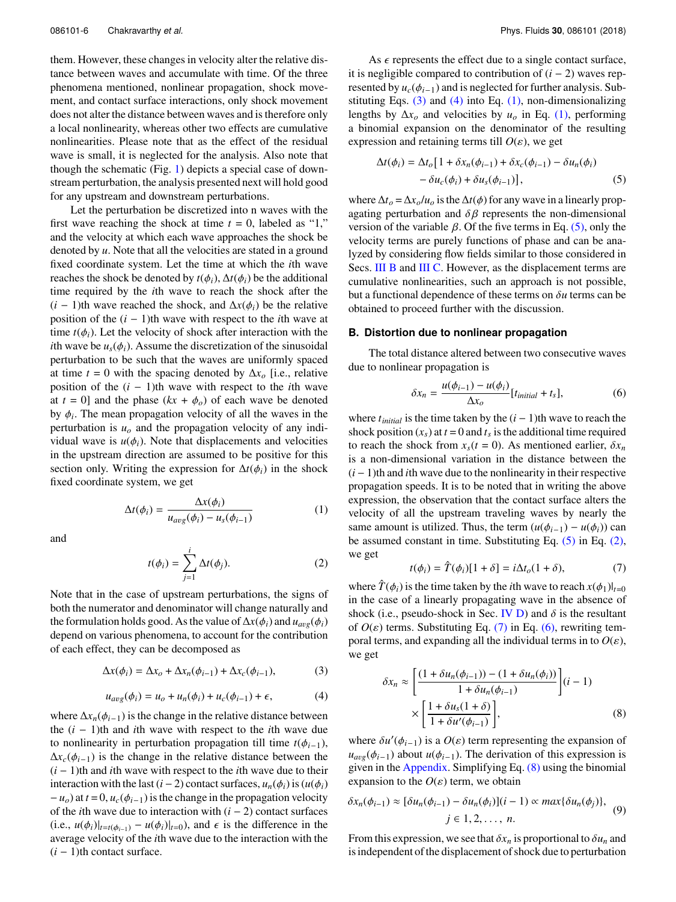them. However, these changes in velocity alter the relative distance between waves and accumulate with time. Of the three phenomena mentioned, nonlinear propagation, shock movement, and contact surface interactions, only shock movement does not alter the distance between waves and is therefore only a local nonlinearity, whereas other two effects are cumulative nonlinearities. Please note that as the effect of the residual wave is small, it is neglected for the analysis. Also note that though the schematic (Fig. 1) depicts a special case of downstream perturbation, the analysis presented next will hold good for any upstream and downstream perturbations.

Let the perturbation be discretized into n waves with the first wave reaching the shock at time  $t = 0$ , labeled as "1," and the velocity at which each wave approaches the shock be denoted by *u*. Note that all the velocities are stated in a ground fixed coordinate system. Let the time at which the *i*th wave reaches the shock be denoted by  $t(\phi_i)$ ,  $\Delta t(\phi_i)$  be the additional time required by the *i*th wave to reach the shock after the  $(i - 1)$ th wave reached the shock, and  $\Delta x(\phi_i)$  be the relative position of the (*i* − 1)th wave with respect to the *i*th wave at time  $t(\phi_i)$ . Let the velocity of shock after interaction with the *i*th wave be  $u_s(\phi_i)$ . Assume the discretization of the sinusoidal perturbation to be such that the waves are uniformly spaced at time  $t = 0$  with the spacing denoted by  $\Delta x_o$  [i.e., relative position of the (*i* − 1)th wave with respect to the *i*th wave at  $t = 0$ ] and the phase  $(kx + \phi_o)$  of each wave be denoted by  $\phi_i$ . The mean propagation velocity of all the waves in the perturbation is  $u<sub>o</sub>$  and the propagation velocity of any individual wave is  $u(\phi_i)$ . Note that displacements and velocities in the upstream direction are assumed to be positive for this section only. Writing the expression for  $\Delta t(\phi_i)$  in the shock fixed coordinate system, we get

$$
\Delta t(\phi_i) = \frac{\Delta x(\phi_i)}{u_{avg}(\phi_i) - u_s(\phi_{i-1})}
$$
(1)

and

$$
t(\phi_i) = \sum_{j=1}^i \Delta t(\phi_j). \tag{2}
$$

Note that in the case of upstream perturbations, the signs of both the numerator and denominator will change naturally and the formulation holds good. As the value of  $\Delta x(\phi_i)$  and  $u_{avg}(\phi_i)$ depend on various phenomena, to account for the contribution of each effect, they can be decomposed as

$$
\Delta x(\phi_i) = \Delta x_o + \Delta x_n(\phi_{i-1}) + \Delta x_c(\phi_{i-1}),\tag{3}
$$

$$
u_{avg}(\phi_i) = u_o + u_n(\phi_i) + u_c(\phi_{i-1}) + \epsilon,
$$
 (4)

where  $\Delta x_n(\phi_{i-1})$  is the change in the relative distance between the (*i* − 1)th and *i*th wave with respect to the *i*th wave due to nonlinearity in perturbation propagation till time  $t(\phi_{i-1})$ ,  $\Delta x_c(\phi_{i-1})$  is the change in the relative distance between the (*i* − 1)th and *i*th wave with respect to the *i*th wave due to their interaction with the last (*i* − 2) contact surfaces,  $u_n(\phi_i)$  is ( $u(\phi_i)$ )  $-u<sub>o</sub>$ ) at  $t = 0$ ,  $u<sub>c</sub>(\phi<sub>i-1</sub>)$  is the change in the propagation velocity of the *i*th wave due to interaction with (*i* − 2) contact surfaces (i.e.,  $u(\phi_i)|_{t=t(\phi_{i-1})} - u(\phi_i)|_{t=0}$ ), and  $\epsilon$  is the difference in the average velocity of the *i*th wave due to the interaction with the  $(i - 1)$ th contact surface.

As  $\epsilon$  represents the effect due to a single contact surface, it is negligible compared to contribution of (*i* − 2) waves represented by  $u_c(\phi_{i-1})$  and is neglected for further analysis. Substituting Eqs.  $(3)$  and  $(4)$  into Eq.  $(1)$ , non-dimensionalizing lengths by  $\Delta x$ <sup>0</sup> and velocities by  $u$ <sup>0</sup> in Eq. (1), performing a binomial expansion on the denominator of the resulting expression and retaining terms till  $O(\varepsilon)$ , we get

$$
\Delta t(\phi_i) = \Delta t_o \left[ 1 + \delta x_n(\phi_{i-1}) + \delta x_c(\phi_{i-1}) - \delta u_n(\phi_i) - \delta u_c(\phi_i) + \delta u_s(\phi_{i-1}) \right],\tag{5}
$$

where  $\Delta t_o = \Delta x_o/u_o$  is the  $\Delta t(\phi)$  for any wave in a linearly propagating perturbation and  $\delta\beta$  represents the non-dimensional version of the variable  $\beta$ . Of the five terms in Eq. (5), only the velocity terms are purely functions of phase and can be analyzed by considering flow fields similar to those considered in Secs. III B and III C. However, as the displacement terms are cumulative nonlinearities, such an approach is not possible, but a functional dependence of these terms on δ*u* terms can be obtained to proceed further with the discussion.

#### **B. Distortion due to nonlinear propagation**

The total distance altered between two consecutive waves due to nonlinear propagation is

$$
\delta x_n = \frac{u(\phi_{i-1}) - u(\phi_i)}{\Delta x_o} [t_{initial} + t_s],\tag{6}
$$

where  $t_{initial}$  is the time taken by the  $(i - 1)$ th wave to reach the shock position  $(x_s)$  at  $t = 0$  and  $t_s$  is the additional time required to reach the shock from  $x_s(t = 0)$ . As mentioned earlier,  $\delta x_n$ is a non-dimensional variation in the distance between the (*i* − 1)th and *i*th wave due to the nonlinearity in their respective propagation speeds. It is to be noted that in writing the above expression, the observation that the contact surface alters the velocity of all the upstream traveling waves by nearly the same amount is utilized. Thus, the term  $(u(\phi_{i-1}) - u(\phi_i))$  can be assumed constant in time. Substituting Eq. (5) in Eq. (2), we get

$$
t(\phi_i) = \hat{T}(\phi_i)[1+\delta] = i\Delta t_o(1+\delta),\tag{7}
$$

where  $\hat{T}(\phi_i)$  is the time taken by the *i*th wave to reach  $x(\phi_1)|_{t=0}$ in the case of a linearly propagating wave in the absence of shock (i.e., pseudo-shock in Sec. IV D) and  $\delta$  is the resultant of  $O(\varepsilon)$  terms. Substituting Eq. (7) in Eq. (6), rewriting temporal terms, and expanding all the individual terms in to  $O(\varepsilon)$ , we get

$$
\delta x_n \approx \left[ \frac{(1 + \delta u_n(\phi_{i-1})) - (1 + \delta u_n(\phi_i))}{1 + \delta u_n(\phi_{i-1})} \right] (i - 1)
$$

$$
\times \left[ \frac{1 + \delta u_s(1 + \delta)}{1 + \delta u'(\phi_{i-1})} \right],
$$
(8)

where  $\delta u'(\phi_{i-1})$  is a  $O(\varepsilon)$  term representing the expansion of  $u_{\text{ave}}(\phi_{i-1})$  about  $u(\phi_{i-1})$ . The derivation of this expression is given in the Appendix. Simplifying Eq. (8) using the binomial expansion to the  $O(\varepsilon)$  term, we obtain

$$
\delta x_n(\phi_{i-1}) \approx [\delta u_n(\phi_{i-1}) - \delta u_n(\phi_i)](i-1) \propto max\{\delta u_n(\phi_j)\},\
$$
  
 
$$
j \in 1, 2, ..., n.
$$
 (9)

From this expression, we see that  $\delta x_n$  is proportional to  $\delta u_n$  and is independent of the displacement of shock due to perturbation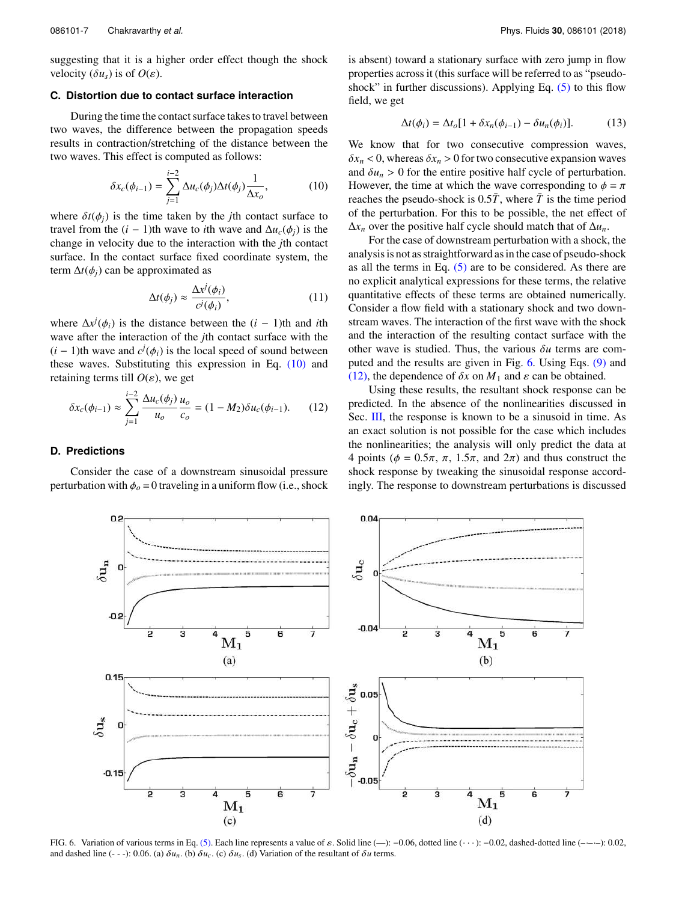suggesting that it is a higher order effect though the shock velocity  $(\delta u_s)$  is of  $O(\varepsilon)$ .

#### **C. Distortion due to contact surface interaction**

During the time the contact surface takes to travel between two waves, the difference between the propagation speeds results in contraction/stretching of the distance between the two waves. This effect is computed as follows:

$$
\delta x_c(\phi_{i-1}) = \sum_{j=1}^{i-2} \Delta u_c(\phi_j) \Delta t(\phi_j) \frac{1}{\Delta x_o},\tag{10}
$$

where  $\delta t(\phi_i)$  is the time taken by the *j*th contact surface to travel from the (*i* − 1)th wave to *i*th wave and ∆*uc*(φ*j*) is the change in velocity due to the interaction with the *j*th contact surface. In the contact surface fixed coordinate system, the term  $\Delta t(\phi_i)$  can be approximated as

$$
\Delta t(\phi_j) \approx \frac{\Delta x^j(\phi_i)}{c^j(\phi_i)},\tag{11}
$$

where  $\Delta x^{j}(\phi_{i})$  is the distance between the  $(i - 1)$ th and *i*th wave after the interaction of the *j*th contact surface with the  $(i - 1)$ th wave and  $c^j(\phi_i)$  is the local speed of sound between these waves. Substituting this expression in Eq.  $(10)$  and retaining terms till  $O(\varepsilon)$ , we get

$$
\delta x_c(\phi_{i-1}) \approx \sum_{j=1}^{i-2} \frac{\Delta u_c(\phi_j)}{u_o} \frac{u_o}{c_o} = (1 - M_2) \delta u_c(\phi_{i-1}).
$$
 (12)

# **D. Predictions**

Consider the case of a downstream sinusoidal pressure perturbation with  $\phi$ <sup> $\theta$ </sup> = 0 traveling in a uniform flow (i.e., shock is absent) toward a stationary surface with zero jump in flow properties across it (this surface will be referred to as "pseudoshock" in further discussions). Applying Eq.  $(5)$  to this flow field, we get

$$
\Delta t(\phi_i) = \Delta t_o [1 + \delta x_n(\phi_{i-1}) - \delta u_n(\phi_i)]. \tag{13}
$$

We know that for two consecutive compression waves,  $\delta x_n < 0$ , whereas  $\delta x_n > 0$  for two consecutive expansion waves and  $\delta u_n > 0$  for the entire positive half cycle of perturbation. However, the time at which the wave corresponding to  $\phi = \pi$ reaches the pseudo-shock is 0.5 $\overline{T}$ , where  $\overline{T}$  is the time period of the perturbation. For this to be possible, the net effect of ∆*x<sup>n</sup>* over the positive half cycle should match that of ∆*un*.

For the case of downstream perturbation with a shock, the analysis is not as straightforward as in the case of pseudo-shock as all the terms in Eq. (5) are to be considered. As there are no explicit analytical expressions for these terms, the relative quantitative effects of these terms are obtained numerically. Consider a flow field with a stationary shock and two downstream waves. The interaction of the first wave with the shock and the interaction of the resulting contact surface with the other wave is studied. Thus, the various δ*u* terms are computed and the results are given in Fig. 6. Using Eqs. (9) and (12), the dependence of  $\delta x$  on  $M_1$  and  $\varepsilon$  can be obtained.

Using these results, the resultant shock response can be predicted. In the absence of the nonlinearities discussed in Sec. III, the response is known to be a sinusoid in time. As an exact solution is not possible for the case which includes the nonlinearities; the analysis will only predict the data at 4 points ( $\phi = 0.5\pi$ ,  $\pi$ , 1.5 $\pi$ , and  $2\pi$ ) and thus construct the shock response by tweaking the sinusoidal response accordingly. The response to downstream perturbations is discussed



FIG. 6. Variation of various terms in Eq. (5). Each line represents a value of ε. Solid line (—): −0.06, dotted line (· · · ): −0.02, dashed-dotted line (–·–·–): 0.02, and dashed line (- - -): 0.06. (a)  $\delta u_n$ . (b)  $\delta u_c$ . (c)  $\delta u_s$ . (d) Variation of the resultant of  $\delta u$  terms.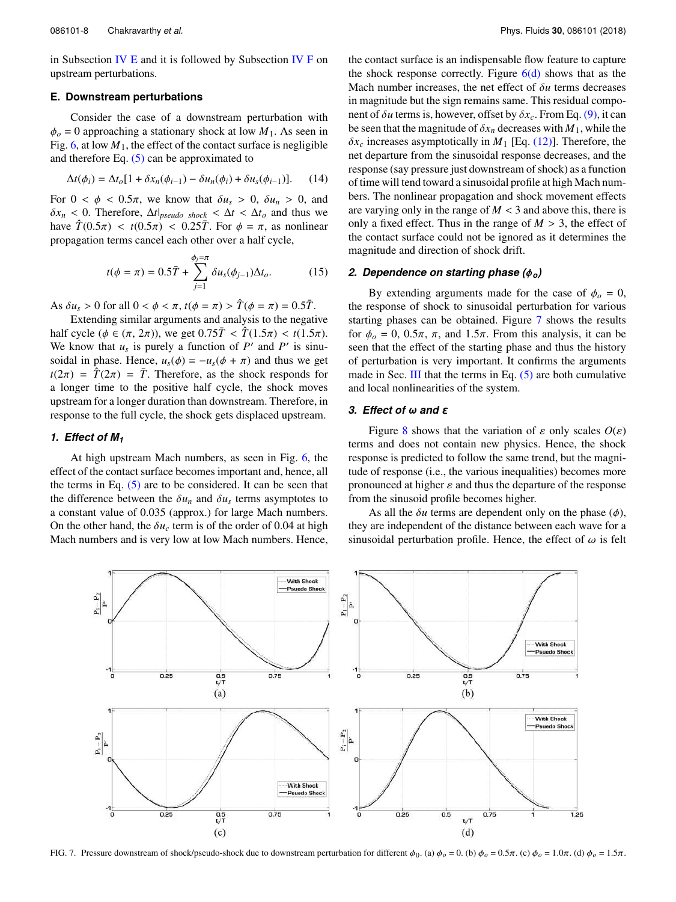in Subsection IV E and it is followed by Subsection IV F on upstream perturbations.

#### **E. Downstream perturbations**

Consider the case of a downstream perturbation with  $\phi$ <sup>o</sup> = 0 approaching a stationary shock at low  $M_1$ . As seen in Fig.  $6$ , at low  $M_1$ , the effect of the contact surface is negligible and therefore Eq.  $(5)$  can be approximated to

$$
\Delta t(\phi_i) = \Delta t_o [1 + \delta x_n(\phi_{i-1}) - \delta u_n(\phi_i) + \delta u_s(\phi_{i-1})]. \tag{14}
$$

For  $0 < \phi < 0.5\pi$ , we know that  $\delta u_s > 0$ ,  $\delta u_n > 0$ , and  $\delta x_n$  < 0. Therefore,  $\Delta t \mid_{pseudo \ shock}$  <  $\Delta t$  <  $\Delta t_o$  and thus we have  $\hat{T}(0.5\pi) < t(0.5\pi) < 0.25\bar{T}$ . For  $\phi = \pi$ , as nonlinear propagation terms cancel each other over a half cycle,

$$
t(\phi = \pi) = 0.5\bar{T} + \sum_{j=1}^{\phi_j = \pi} \delta u_s(\phi_{j-1}) \Delta t_o.
$$
 (15)

As  $\delta u_s > 0$  for all  $0 < \phi < \pi$ ,  $t(\phi = \pi) > \hat{T}(\phi = \pi) = 0.5\bar{T}$ .

Extending similar arguments and analysis to the negative half cycle ( $\phi \in (\pi, 2\pi)$ ), we get  $0.75\bar{T} < \hat{T}(1.5\pi) < t(1.5\pi)$ . We know that  $u_s$  is purely a function of  $P'$  and  $P'$  is sinusoidal in phase. Hence,  $u_s(\phi) = -u_s(\phi + \pi)$  and thus we get  $t(2\pi) = \hat{T}(2\pi) = \bar{T}$ . Therefore, as the shock responds for a longer time to the positive half cycle, the shock moves upstream for a longer duration than downstream. Therefore, in response to the full cycle, the shock gets displaced upstream.

## *1. Effect of M<sup>1</sup>*

At high upstream Mach numbers, as seen in Fig. 6, the effect of the contact surface becomes important and, hence, all the terms in Eq.  $(5)$  are to be considered. It can be seen that the difference between the  $\delta u_n$  and  $\delta u_s$  terms asymptotes to a constant value of 0.035 (approx.) for large Mach numbers. On the other hand, the  $\delta u_c$  term is of the order of 0.04 at high Mach numbers and is very low at low Mach numbers. Hence,

the contact surface is an indispensable flow feature to capture the shock response correctly. Figure  $6(d)$  shows that as the Mach number increases, the net effect of δ*u* terms decreases in magnitude but the sign remains same. This residual component of δ*u* terms is, however, offset by δ*xc*. From Eq. (9), it can be seen that the magnitude of  $\delta x_n$  decreases with  $M_1$ , while the  $\delta x_c$  increases asymptotically in  $M_1$  [Eq. (12)]. Therefore, the net departure from the sinusoidal response decreases, and the response (say pressure just downstream of shock) as a function of time will tend toward a sinusoidal profile at high Mach numbers. The nonlinear propagation and shock movement effects are varying only in the range of  $M < 3$  and above this, there is only a fixed effect. Thus in the range of  $M > 3$ , the effect of the contact surface could not be ignored as it determines the magnitude and direction of shock drift.

## *2. Dependence on starting phase (*φ*o)*

By extending arguments made for the case of  $\phi_o = 0$ , the response of shock to sinusoidal perturbation for various starting phases can be obtained. Figure 7 shows the results for  $\phi$ <sub>o</sub> = 0, 0.5 $\pi$ ,  $\pi$ , and 1.5 $\pi$ . From this analysis, it can be seen that the effect of the starting phase and thus the history of perturbation is very important. It confirms the arguments made in Sec. III that the terms in Eq.  $(5)$  are both cumulative and local nonlinearities of the system.

### *3. Effect of ω and ε*

Figure 8 shows that the variation of  $\varepsilon$  only scales  $O(\varepsilon)$ terms and does not contain new physics. Hence, the shock response is predicted to follow the same trend, but the magnitude of response (i.e., the various inequalities) becomes more pronounced at higher  $\varepsilon$  and thus the departure of the response from the sinusoid profile becomes higher.

As all the  $\delta u$  terms are dependent only on the phase  $(\phi)$ , they are independent of the distance between each wave for a sinusoidal perturbation profile. Hence, the effect of  $\omega$  is felt



FIG. 7. Pressure downstream of shock/pseudo-shock due to downstream perturbation for different  $\phi_0$ . (a)  $\phi_0 = 0.6$  (b)  $\phi_0 = 0.5\pi$ . (c)  $\phi_0 = 1.0\pi$ . (d)  $\phi_0 = 1.5\pi$ .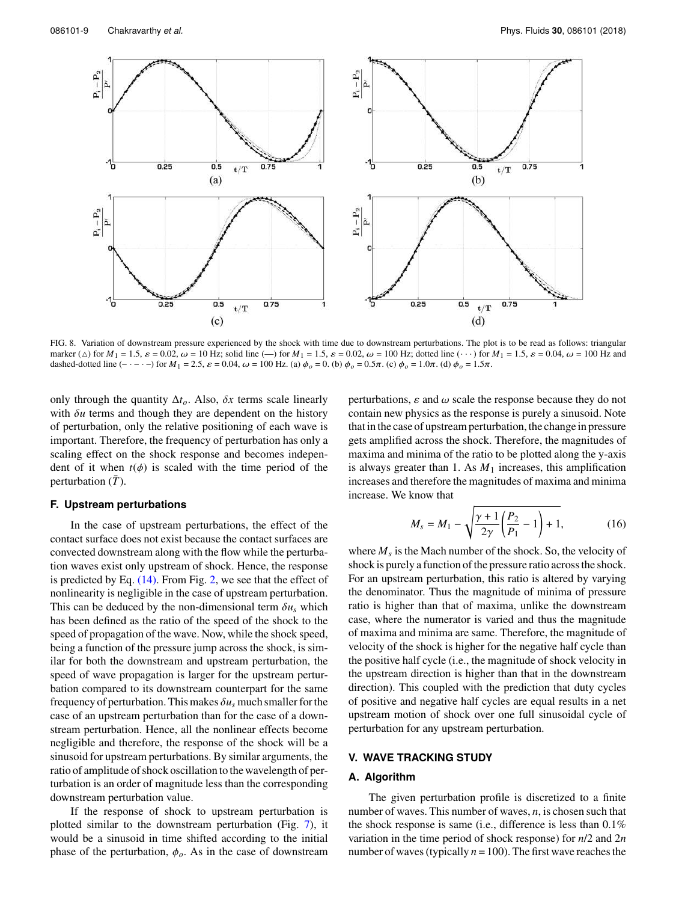

FIG. 8. Variation of downstream pressure experienced by the shock with time due to downstream perturbations. The plot is to be read as follows: triangular marker ( $\triangle$ ) for  $M_1 = 1.5$ ,  $\varepsilon = 0.02$ ,  $\omega = 10$  Hz; solid line (—) for  $M_1 = 1.5$ ,  $\varepsilon = 0.02$ ,  $\omega = 100$  Hz; dotted line (···) for  $M_1 = 1.5$ ,  $\varepsilon = 0.04$ ,  $\omega = 100$  Hz and dashed-dotted line  $(- \cdot - \cdot)$  for  $M_1 = 2.5$ ,  $\varepsilon = 0.04$ ,  $\omega = 100$  Hz. (a)  $\phi_o = 0$ . (b)  $\phi_o = 0.5\pi$ . (c)  $\phi_o = 1.0\pi$ . (d)  $\phi_o = 1.5\pi$ .

only through the quantity ∆*to*. Also, δ*x* terms scale linearly with δ*u* terms and though they are dependent on the history of perturbation, only the relative positioning of each wave is important. Therefore, the frequency of perturbation has only a scaling effect on the shock response and becomes independent of it when  $t(\phi)$  is scaled with the time period of the perturbation  $(\bar{T})$ .

## **F. Upstream perturbations**

In the case of upstream perturbations, the effect of the contact surface does not exist because the contact surfaces are convected downstream along with the flow while the perturbation waves exist only upstream of shock. Hence, the response is predicted by Eq. (14). From Fig. 2, we see that the effect of nonlinearity is negligible in the case of upstream perturbation. This can be deduced by the non-dimensional term  $\delta u_s$  which has been defined as the ratio of the speed of the shock to the speed of propagation of the wave. Now, while the shock speed, being a function of the pressure jump across the shock, is similar for both the downstream and upstream perturbation, the speed of wave propagation is larger for the upstream perturbation compared to its downstream counterpart for the same frequency of perturbation. This makes  $\delta u_s$  much smaller for the case of an upstream perturbation than for the case of a downstream perturbation. Hence, all the nonlinear effects become negligible and therefore, the response of the shock will be a sinusoid for upstream perturbations. By similar arguments, the ratio of amplitude of shock oscillation to the wavelength of perturbation is an order of magnitude less than the corresponding downstream perturbation value.

If the response of shock to upstream perturbation is plotted similar to the downstream perturbation (Fig. 7), it would be a sinusoid in time shifted according to the initial phase of the perturbation,  $\phi_o$ . As in the case of downstream perturbations,  $\varepsilon$  and  $\omega$  scale the response because they do not contain new physics as the response is purely a sinusoid. Note that in the case of upstream perturbation, the change in pressure gets amplified across the shock. Therefore, the magnitudes of maxima and minima of the ratio to be plotted along the y-axis is always greater than 1. As  $M_1$  increases, this amplification increases and therefore the magnitudes of maxima and minima increase. We know that

$$
M_s = M_1 - \sqrt{\frac{\gamma + 1}{2\gamma} \left(\frac{P_2}{P_1} - 1\right) + 1},\tag{16}
$$

where  $M_s$  is the Mach number of the shock. So, the velocity of shock is purely a function of the pressure ratio across the shock. For an upstream perturbation, this ratio is altered by varying the denominator. Thus the magnitude of minima of pressure ratio is higher than that of maxima, unlike the downstream case, where the numerator is varied and thus the magnitude of maxima and minima are same. Therefore, the magnitude of velocity of the shock is higher for the negative half cycle than the positive half cycle (i.e., the magnitude of shock velocity in the upstream direction is higher than that in the downstream direction). This coupled with the prediction that duty cycles of positive and negative half cycles are equal results in a net upstream motion of shock over one full sinusoidal cycle of perturbation for any upstream perturbation.

## **V. WAVE TRACKING STUDY**

## **A. Algorithm**

The given perturbation profile is discretized to a finite number of waves. This number of waves, *n*, is chosen such that the shock response is same (i.e., difference is less than 0.1% variation in the time period of shock response) for *n*/2 and 2*n* number of waves (typically *n* = 100). The first wave reaches the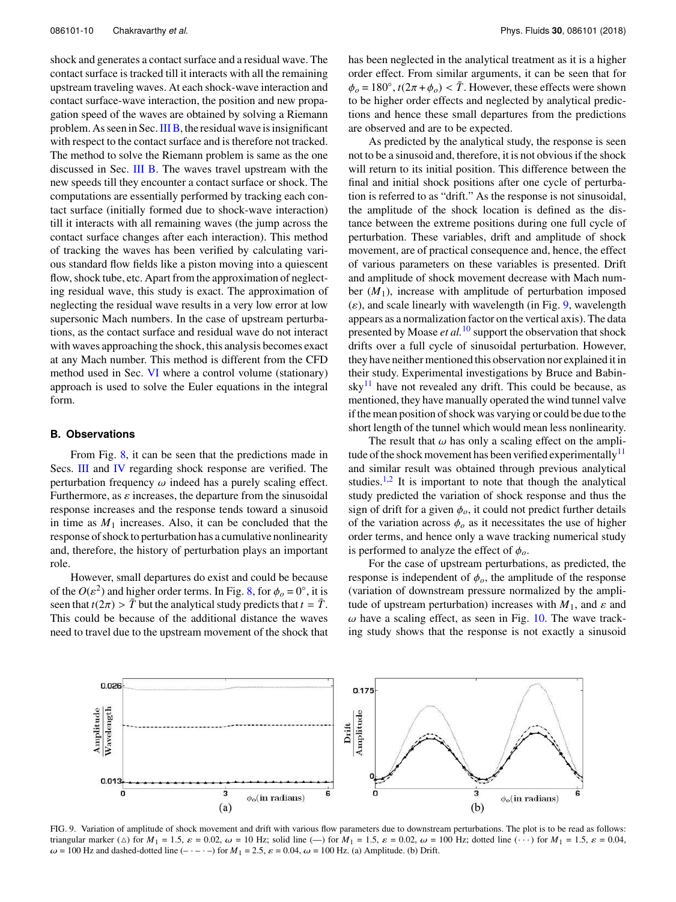shock and generates a contact surface and a residual wave. The contact surface is tracked till it interacts with all the remaining upstream traveling waves. At each shock-wave interaction and contact surface-wave interaction, the position and new propagation speed of the waves are obtained by solving a Riemann problem. As seen in Sec.III B, the residual wave is insignificant with respect to the contact surface and is therefore not tracked. The method to solve the Riemann problem is same as the one discussed in Sec. III B. The waves travel upstream with the new speeds till they encounter a contact surface or shock. The computations are essentially performed by tracking each contact surface (initially formed due to shock-wave interaction) till it interacts with all remaining waves (the jump across the contact surface changes after each interaction). This method of tracking the waves has been verified by calculating various standard flow fields like a piston moving into a quiescent flow, shock tube, etc. Apart from the approximation of neglecting residual wave, this study is exact. The approximation of neglecting the residual wave results in a very low error at low supersonic Mach numbers. In the case of upstream perturbations, as the contact surface and residual wave do not interact with waves approaching the shock, this analysis becomes exact at any Mach number. This method is different from the CFD method used in Sec. VI where a control volume (stationary) approach is used to solve the Euler equations in the integral form.

### **B. Observations**

From Fig. 8, it can be seen that the predictions made in Secs. III and IV regarding shock response are verified. The perturbation frequency  $\omega$  indeed has a purely scaling effect. Furthermore, as  $\varepsilon$  increases, the departure from the sinusoidal response increases and the response tends toward a sinusoid in time as  $M_1$  increases. Also, it can be concluded that the response of shock to perturbation has a cumulative nonlinearity and, therefore, the history of perturbation plays an important role.

However, small departures do exist and could be because of the  $O(\varepsilon^2)$  and higher order terms. In Fig. 8, for  $\phi_o = 0^\circ$ , it is seen that  $t(2\pi) > \overline{T}$  but the analytical study predicts that  $t = \overline{T}$ . This could be because of the additional distance the waves need to travel due to the upstream movement of the shock that

has been neglected in the analytical treatment as it is a higher order effect. From similar arguments, it can be seen that for  $\phi_o = 180^\circ$ ,  $t(2\pi + \phi_o) < \overline{T}$ . However, these effects were shown to be higher order effects and neglected by analytical predictions and hence these small departures from the predictions are observed and are to be expected.

As predicted by the analytical study, the response is seen not to be a sinusoid and, therefore, it is not obvious if the shock will return to its initial position. This difference between the final and initial shock positions after one cycle of perturbation is referred to as "drift." As the response is not sinusoidal, the amplitude of the shock location is defined as the distance between the extreme positions during one full cycle of perturbation. These variables, drift and amplitude of shock movement, are of practical consequence and, hence, the effect of various parameters on these variables is presented. Drift and amplitude of shock movement decrease with Mach number  $(M_1)$ , increase with amplitude of perturbation imposed  $(\varepsilon)$ , and scale linearly with wavelength (in Fig. 9, wavelength appears as a normalization factor on the vertical axis). The data presented by Moase *et al.*<sup>10</sup> support the observation that shock drifts over a full cycle of sinusoidal perturbation. However, they have neither mentioned this observation nor explained it in their study. Experimental investigations by Bruce and Babin $sky<sup>11</sup>$  have not revealed any drift. This could be because, as mentioned, they have manually operated the wind tunnel valve if the mean position of shock was varying or could be due to the short length of the tunnel which would mean less nonlinearity.

The result that  $\omega$  has only a scaling effect on the amplitude of the shock movement has been verified experimentally<sup>11</sup> and similar result was obtained through previous analytical studies.<sup>1,2</sup> It is important to note that though the analytical study predicted the variation of shock response and thus the sign of drift for a given  $\phi_o$ , it could not predict further details of the variation across  $\phi_o$  as it necessitates the use of higher order terms, and hence only a wave tracking numerical study is performed to analyze the effect of  $\phi$ <sub>o</sub>.

For the case of upstream perturbations, as predicted, the response is independent of  $\phi$ <sub>o</sub>, the amplitude of the response (variation of downstream pressure normalized by the amplitude of upstream perturbation) increases with  $M_1$ , and  $\varepsilon$  and  $\omega$  have a scaling effect, as seen in Fig. 10. The wave tracking study shows that the response is not exactly a sinusoid



FIG. 9. Variation of amplitude of shock movement and drift with various flow parameters due to downstream perturbations. The plot is to be read as follows: triangular marker ( $\triangle$ ) for *M*<sub>1</sub> = 1.5,  $\varepsilon$  = 0.02,  $\omega$  = 10 Hz; solid line ( $\rightarrow$ ) for *M*<sub>1</sub> = 1.5,  $\varepsilon$  = 0.02,  $\omega$  = 100 Hz; dotted line ( $\cdots$ ) for *M*<sub>1</sub> = 1.5,  $\varepsilon$  = 0.04,  $\omega = 100$  Hz and dashed-dotted line  $(- - - -)$  for  $M_1 = 2.5$ ,  $\varepsilon = 0.04$ ,  $\omega = 100$  Hz. (a) Amplitude. (b) Drift.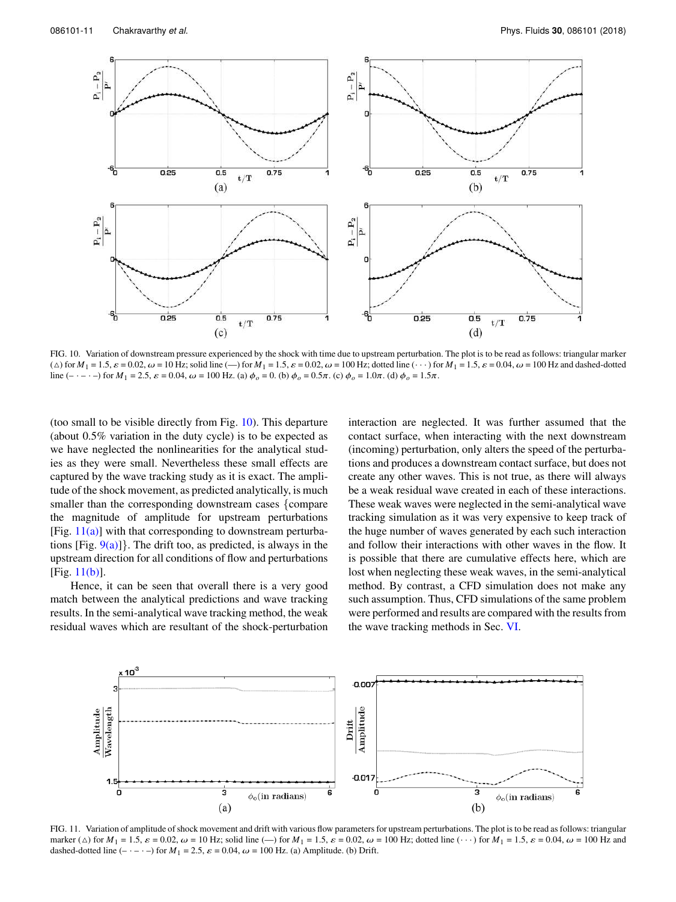

FIG. 10. Variation of downstream pressure experienced by the shock with time due to upstream perturbation. The plot is to be read as follows: triangular marker ( $\triangle$ ) for  $M_1 = 1.5$ ,  $\varepsilon = 0.02$ ,  $\omega = 10$  Hz; solid line ( $\rightarrow$ ) for  $M_1 = 1.5$ ,  $\varepsilon = 0.02$ ,  $\omega = 100$  Hz; dotted line ( $\cdots$ ) for  $M_1 = 1.5$ ,  $\varepsilon = 0.04$ ,  $\omega = 100$  Hz and dashed-dotted line (– · – · –) for  $M_1 = 2.5$ ,  $\varepsilon = 0.04$ ,  $ω = 100$  Hz. (a)  $φ_0 = 0$ . (b)  $φ_0 = 0.5π$ . (c)  $φ_0 = 1.0π$ . (d)  $φ_0 = 1.5π$ .

(too small to be visible directly from Fig. 10). This departure (about 0.5% variation in the duty cycle) is to be expected as we have neglected the nonlinearities for the analytical studies as they were small. Nevertheless these small effects are captured by the wave tracking study as it is exact. The amplitude of the shock movement, as predicted analytically, is much smaller than the corresponding downstream cases {compare the magnitude of amplitude for upstream perturbations [Fig.  $11(a)$ ] with that corresponding to downstream perturbations [Fig.  $9(a)$ ]. The drift too, as predicted, is always in the upstream direction for all conditions of flow and perturbations [Fig. 11(b)].

Hence, it can be seen that overall there is a very good match between the analytical predictions and wave tracking results. In the semi-analytical wave tracking method, the weak residual waves which are resultant of the shock-perturbation interaction are neglected. It was further assumed that the contact surface, when interacting with the next downstream (incoming) perturbation, only alters the speed of the perturbations and produces a downstream contact surface, but does not create any other waves. This is not true, as there will always be a weak residual wave created in each of these interactions. These weak waves were neglected in the semi-analytical wave tracking simulation as it was very expensive to keep track of the huge number of waves generated by each such interaction and follow their interactions with other waves in the flow. It is possible that there are cumulative effects here, which are lost when neglecting these weak waves, in the semi-analytical method. By contrast, a CFD simulation does not make any such assumption. Thus, CFD simulations of the same problem were performed and results are compared with the results from the wave tracking methods in Sec. VI.



FIG. 11. Variation of amplitude of shock movement and drift with various flow parameters for upstream perturbations. The plot is to be read as follows: triangular marker ( $\triangle$ ) for *M*<sub>1</sub> = 1.5,  $\varepsilon$  = 0.02,  $\omega$  = 10 Hz; solid line (--) for *M*<sub>1</sub> = 1.5,  $\varepsilon$  = 0.02,  $\omega$  = 100 Hz; dotted line ( $\cdots$ ) for *M*<sub>1</sub> = 1.5,  $\varepsilon$  = 0.04,  $\omega$  = 100 Hz and dashed-dotted line  $(- - - -)$  for  $M_1 = 2.5$ ,  $\varepsilon = 0.04$ ,  $\omega = 100$  Hz. (a) Amplitude. (b) Drift.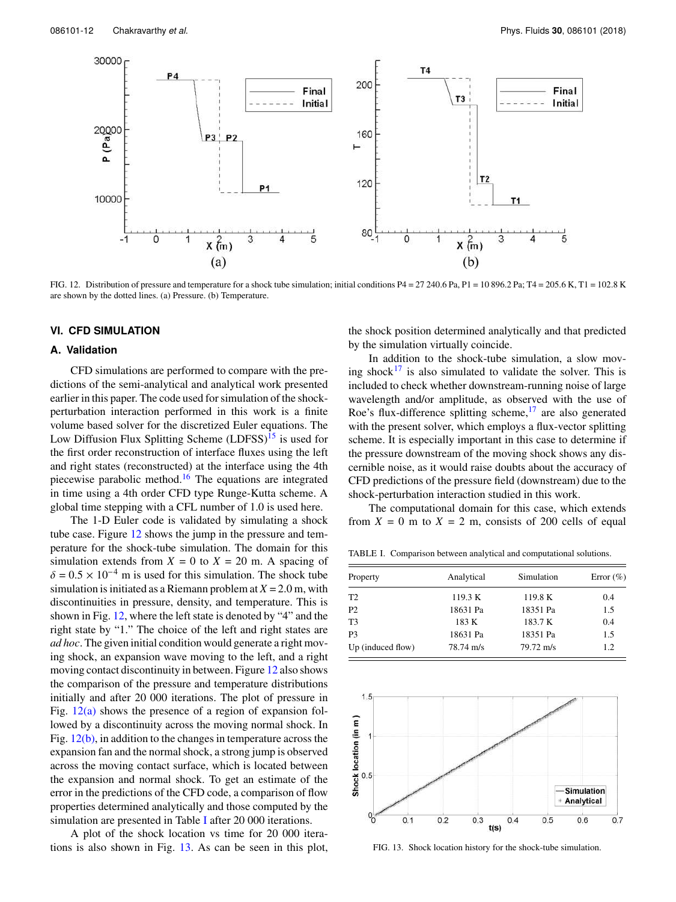

FIG. 12. Distribution of pressure and temperature for a shock tube simulation; initial conditions  $P4 = 27240.6$  Pa,  $P1 = 10896.2$  Pa;  $T4 = 205.6$  K,  $T1 = 102.8$  K are shown by the dotted lines. (a) Pressure. (b) Temperature.

### **VI. CFD SIMULATION**

## **A. Validation**

CFD simulations are performed to compare with the predictions of the semi-analytical and analytical work presented earlier in this paper. The code used for simulation of the shockperturbation interaction performed in this work is a finite volume based solver for the discretized Euler equations. The Low Diffusion Flux Splitting Scheme  $(LDFSS)^{15}$  is used for the first order reconstruction of interface fluxes using the left and right states (reconstructed) at the interface using the 4th piecewise parabolic method.<sup>16</sup> The equations are integrated in time using a 4th order CFD type Runge-Kutta scheme. A global time stepping with a CFL number of 1.0 is used here.

The 1-D Euler code is validated by simulating a shock tube case. Figure 12 shows the jump in the pressure and temperature for the shock-tube simulation. The domain for this simulation extends from  $X = 0$  to  $X = 20$  m. A spacing of  $\delta = 0.5 \times 10^{-4}$  m is used for this simulation. The shock tube simulation is initiated as a Riemann problem at  $X = 2.0$  m, with discontinuities in pressure, density, and temperature. This is shown in Fig. 12, where the left state is denoted by "4" and the right state by "1." The choice of the left and right states are *ad hoc*. The given initial condition would generate a right moving shock, an expansion wave moving to the left, and a right moving contact discontinuity in between. Figure 12 also shows the comparison of the pressure and temperature distributions initially and after 20 000 iterations. The plot of pressure in Fig.  $12(a)$  shows the presence of a region of expansion followed by a discontinuity across the moving normal shock. In Fig.  $12(b)$ , in addition to the changes in temperature across the expansion fan and the normal shock, a strong jump is observed across the moving contact surface, which is located between the expansion and normal shock. To get an estimate of the error in the predictions of the CFD code, a comparison of flow properties determined analytically and those computed by the simulation are presented in Table I after 20 000 iterations.

A plot of the shock location vs time for 20 000 iterations is also shown in Fig. 13. As can be seen in this plot,

the shock position determined analytically and that predicted by the simulation virtually coincide.

In addition to the shock-tube simulation, a slow moving shock<sup>17</sup> is also simulated to validate the solver. This is included to check whether downstream-running noise of large wavelength and/or amplitude, as observed with the use of Roe's flux-difference splitting scheme, $17$  are also generated with the present solver, which employs a flux-vector splitting scheme. It is especially important in this case to determine if the pressure downstream of the moving shock shows any discernible noise, as it would raise doubts about the accuracy of CFD predictions of the pressure field (downstream) due to the shock-perturbation interaction studied in this work.

The computational domain for this case, which extends from  $X = 0$  m to  $X = 2$  m, consists of 200 cells of equal

TABLE I. Comparison between analytical and computational solutions.

| Property          | Analytical          | Simulation          | Error $(\% )$ |
|-------------------|---------------------|---------------------|---------------|
| T2                | 119.3 K             | 119.8 K             | 0.4           |
| P2                | 18631 Pa            | 18351 Pa            | 1.5           |
| T3                | 183 K               | 183.7 K             | 0.4           |
| P3                | 18631 Pa            | 18351 Pa            | 1.5           |
| Up (induced flow) | $78.74 \text{ m/s}$ | $79.72 \text{ m/s}$ | 1.2           |



FIG. 13. Shock location history for the shock-tube simulation.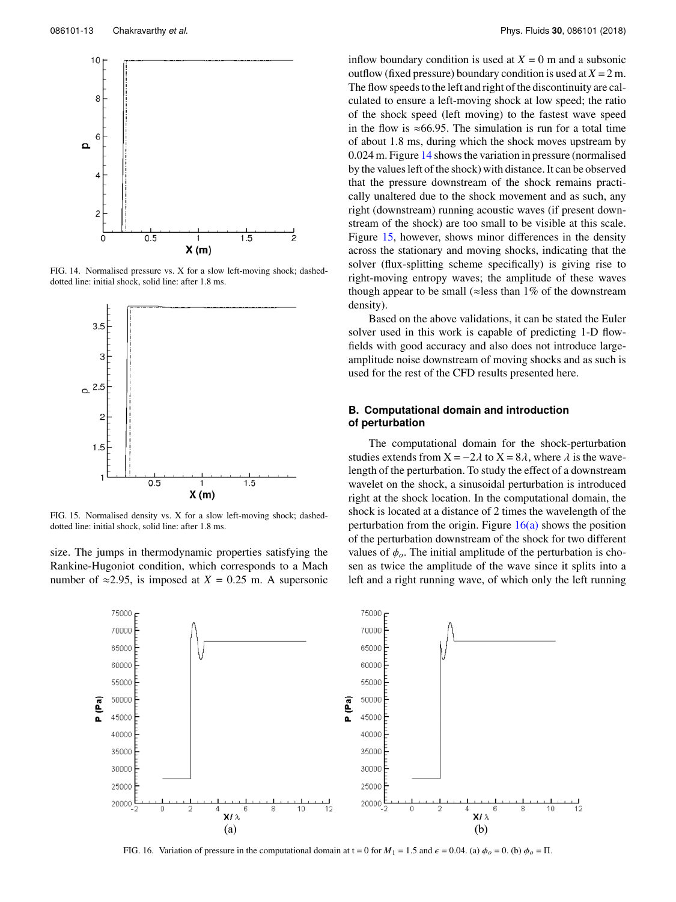

FIG. 14. Normalised pressure vs. X for a slow left-moving shock; dasheddotted line: initial shock, solid line: after 1.8 ms.



FIG. 15. Normalised density vs. X for a slow left-moving shock; dasheddotted line: initial shock, solid line: after 1.8 ms.

size. The jumps in thermodynamic properties satisfying the Rankine-Hugoniot condition, which corresponds to a Mach number of  $\approx$ 2.95, is imposed at *X* = 0.25 m. A supersonic

inflow boundary condition is used at  $X = 0$  m and a subsonic outflow (fixed pressure) boundary condition is used at  $X = 2$  m. The flow speeds to the left and right of the discontinuity are calculated to ensure a left-moving shock at low speed; the ratio of the shock speed (left moving) to the fastest wave speed in the flow is  $\approx 66.95$ . The simulation is run for a total time of about 1.8 ms, during which the shock moves upstream by 0.024 m. Figure 14 shows the variation in pressure (normalised by the values left of the shock) with distance. It can be observed that the pressure downstream of the shock remains practically unaltered due to the shock movement and as such, any right (downstream) running acoustic waves (if present downstream of the shock) are too small to be visible at this scale. Figure 15, however, shows minor differences in the density across the stationary and moving shocks, indicating that the solver (flux-splitting scheme specifically) is giving rise to right-moving entropy waves; the amplitude of these waves though appear to be small ( $\approx$ less than 1% of the downstream density).

Based on the above validations, it can be stated the Euler solver used in this work is capable of predicting 1-D flowfields with good accuracy and also does not introduce largeamplitude noise downstream of moving shocks and as such is used for the rest of the CFD results presented here.

## **B. Computational domain and introduction of perturbation**

The computational domain for the shock-perturbation studies extends from  $X = -2\lambda$  to  $X = 8\lambda$ , where  $\lambda$  is the wavelength of the perturbation. To study the effect of a downstream wavelet on the shock, a sinusoidal perturbation is introduced right at the shock location. In the computational domain, the shock is located at a distance of 2 times the wavelength of the perturbation from the origin. Figure  $16(a)$  shows the position of the perturbation downstream of the shock for two different values of  $\phi$ . The initial amplitude of the perturbation is chosen as twice the amplitude of the wave since it splits into a left and a right running wave, of which only the left running



FIG. 16. Variation of pressure in the computational domain at  $t = 0$  for  $M_1 = 1.5$  and  $\epsilon = 0.04$ . (a)  $\phi_o = 0$ . (b)  $\phi_o = \Pi$ .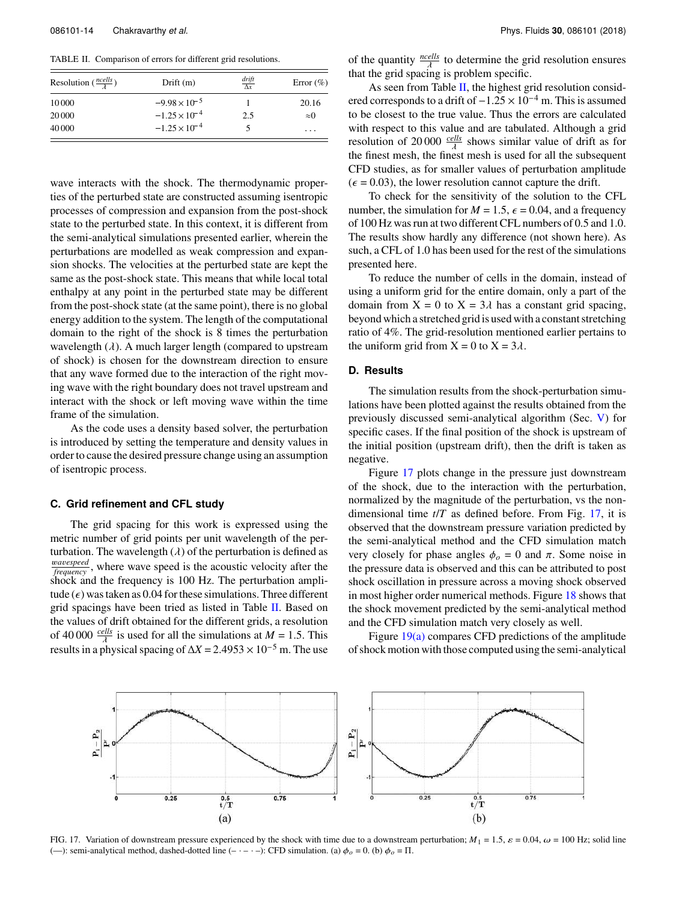TABLE II. Comparison of errors for different grid resolutions.

| Resolution $(\frac{ncells}{\lambda})$ | Drift(m)               | $\frac{drift}{\Delta x}$ | Error $(\% )$ |
|---------------------------------------|------------------------|--------------------------|---------------|
| 10 000                                | $-9.98 \times 10^{-5}$ |                          | 20.16         |
| 20 000                                | $-1.25 \times 10^{-4}$ | 2.5                      | $\approx 0$   |
| 40 000                                | $-1.25 \times 10^{-4}$ |                          | .             |

wave interacts with the shock. The thermodynamic properties of the perturbed state are constructed assuming isentropic processes of compression and expansion from the post-shock state to the perturbed state. In this context, it is different from the semi-analytical simulations presented earlier, wherein the perturbations are modelled as weak compression and expansion shocks. The velocities at the perturbed state are kept the same as the post-shock state. This means that while local total enthalpy at any point in the perturbed state may be different from the post-shock state (at the same point), there is no global energy addition to the system. The length of the computational domain to the right of the shock is 8 times the perturbation wavelength  $(\lambda)$ . A much larger length (compared to upstream of shock) is chosen for the downstream direction to ensure that any wave formed due to the interaction of the right moving wave with the right boundary does not travel upstream and interact with the shock or left moving wave within the time frame of the simulation.

As the code uses a density based solver, the perturbation is introduced by setting the temperature and density values in order to cause the desired pressure change using an assumption of isentropic process.

#### **C. Grid refinement and CFL study**

The grid spacing for this work is expressed using the metric number of grid points per unit wavelength of the perturbation. The wavelength  $(\lambda)$  of the perturbation is defined as *wavespeed*, where wave speed is the acoustic velocity after the shock and the frequency is 100 Hz. The perturbation amplitude ( $\epsilon$ ) was taken as 0.04 for these simulations. Three different grid spacings have been tried as listed in Table II. Based on the values of drift obtained for the different grids, a resolution of 40 000  $\frac{cells}{\lambda}$  is used for all the simulations at *M* = 1.5. This results in a physical spacing of  $\Delta X = 2.4953 \times 10^{-5}$  m. The use

of the quantity  $\frac{ncells}{\lambda}$  to determine the grid resolution ensures that the grid spacing is problem specific.

As seen from Table II, the highest grid resolution considered corresponds to a drift of  $-1.25 \times 10^{-4}$  m. This is assumed to be closest to the true value. Thus the errors are calculated with respect to this value and are tabulated. Although a grid resolution of 20 000  $\frac{cells}{\lambda}$  shows similar value of drift as for the finest mesh, the finest mesh is used for all the subsequent CFD studies, as for smaller values of perturbation amplitude  $(\epsilon = 0.03)$ , the lower resolution cannot capture the drift.

To check for the sensitivity of the solution to the CFL number, the simulation for  $M = 1.5$ ,  $\epsilon = 0.04$ , and a frequency of 100 Hz was run at two different CFL numbers of 0.5 and 1.0. The results show hardly any difference (not shown here). As such, a CFL of 1.0 has been used for the rest of the simulations presented here.

To reduce the number of cells in the domain, instead of using a uniform grid for the entire domain, only a part of the domain from  $X = 0$  to  $X = 3\lambda$  has a constant grid spacing, beyond which a stretched grid is used with a constant stretching ratio of 4%. The grid-resolution mentioned earlier pertains to the uniform grid from  $X = 0$  to  $X = 3\lambda$ .

# **D. Results**

The simulation results from the shock-perturbation simulations have been plotted against the results obtained from the previously discussed semi-analytical algorithm (Sec. V) for specific cases. If the final position of the shock is upstream of the initial position (upstream drift), then the drift is taken as negative.

Figure 17 plots change in the pressure just downstream of the shock, due to the interaction with the perturbation, normalized by the magnitude of the perturbation, vs the nondimensional time *t*/*T* as defined before. From Fig. 17, it is observed that the downstream pressure variation predicted by the semi-analytical method and the CFD simulation match very closely for phase angles  $\phi_o = 0$  and  $\pi$ . Some noise in the pressure data is observed and this can be attributed to post shock oscillation in pressure across a moving shock observed in most higher order numerical methods. Figure 18 shows that the shock movement predicted by the semi-analytical method and the CFD simulation match very closely as well.

Figure 19(a) compares CFD predictions of the amplitude of shock motion with those computed using the semi-analytical



FIG. 17. Variation of downstream pressure experienced by the shock with time due to a downstream perturbation;  $M_1 = 1.5$ ,  $\varepsilon = 0.04$ ,  $\omega = 100$  Hz; solid line (—): semi-analytical method, dashed-dotted line  $(- \cdot - \cdot -)$ : CFD simulation. (a)  $\phi_o = 0$ . (b)  $\phi_o = \Pi$ .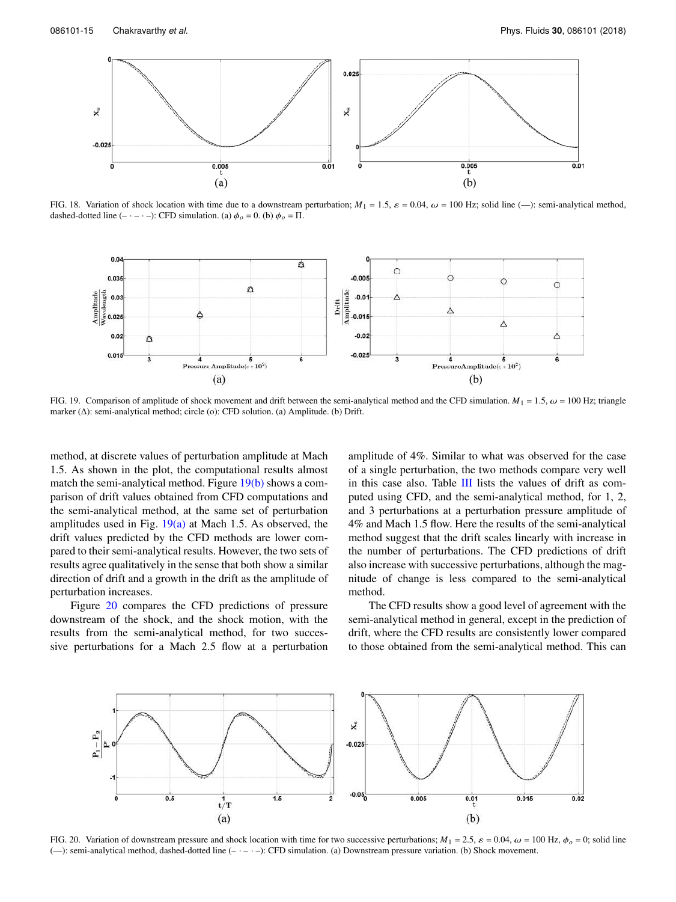

FIG. 18. Variation of shock location with time due to a downstream perturbation;  $M_1 = 1.5$ ,  $\varepsilon = 0.04$ ,  $\omega = 100$  Hz; solid line (-): semi-analytical method, dashed-dotted line  $(- \cdot - \cdot -)$ : CFD simulation. (a)  $\phi_o = 0$ . (b)  $\phi_o = \Pi$ .



FIG. 19. Comparison of amplitude of shock movement and drift between the semi-analytical method and the CFD simulation.  $M_1 = 1.5$ ,  $\omega = 100$  Hz; triangle marker (∆): semi-analytical method; circle (o): CFD solution. (a) Amplitude. (b) Drift.

method, at discrete values of perturbation amplitude at Mach 1.5. As shown in the plot, the computational results almost match the semi-analytical method. Figure 19(b) shows a comparison of drift values obtained from CFD computations and the semi-analytical method, at the same set of perturbation amplitudes used in Fig.  $19(a)$  at Mach 1.5. As observed, the drift values predicted by the CFD methods are lower compared to their semi-analytical results. However, the two sets of results agree qualitatively in the sense that both show a similar direction of drift and a growth in the drift as the amplitude of perturbation increases.

Figure 20 compares the CFD predictions of pressure downstream of the shock, and the shock motion, with the results from the semi-analytical method, for two successive perturbations for a Mach 2.5 flow at a perturbation

amplitude of 4%. Similar to what was observed for the case of a single perturbation, the two methods compare very well in this case also. Table III lists the values of drift as computed using CFD, and the semi-analytical method, for 1, 2, and 3 perturbations at a perturbation pressure amplitude of 4% and Mach 1.5 flow. Here the results of the semi-analytical method suggest that the drift scales linearly with increase in the number of perturbations. The CFD predictions of drift also increase with successive perturbations, although the magnitude of change is less compared to the semi-analytical method.

The CFD results show a good level of agreement with the semi-analytical method in general, except in the prediction of drift, where the CFD results are consistently lower compared to those obtained from the semi-analytical method. This can



FIG. 20. Variation of downstream pressure and shock location with time for two successive perturbations;  $M_1 = 2.5$ ,  $\varepsilon = 0.04$ ,  $\omega = 100$  Hz,  $\phi_o = 0$ ; solid line  $(-)$ : semi-analytical method, dashed-dotted line  $(- - - -)$ : CFD simulation. (a) Downstream pressure variation. (b) Shock movement.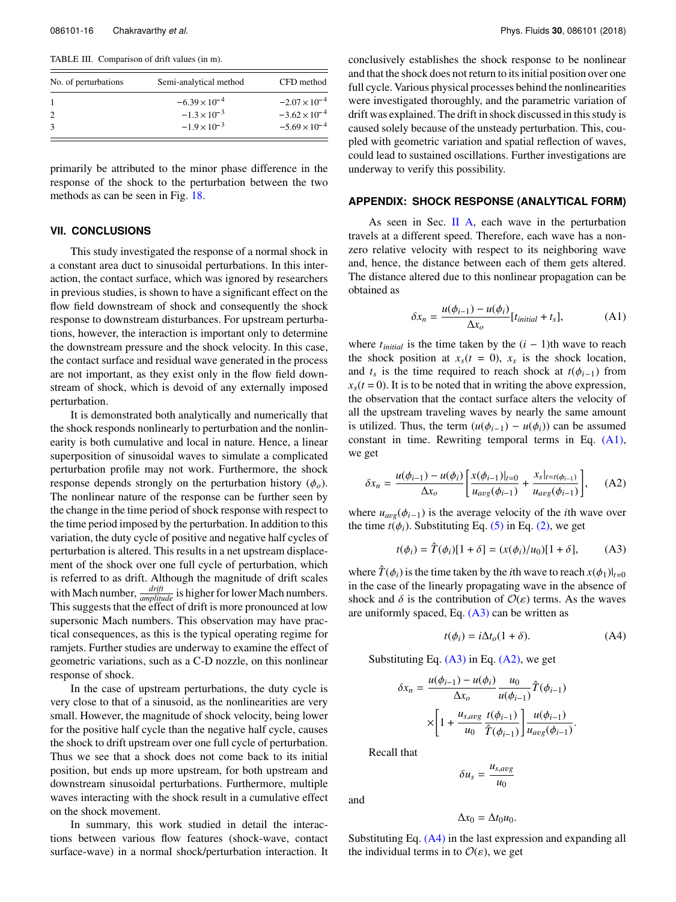TABLE III. Comparison of drift values (in m).

| No. of perturbations | Semi-analytical method | CFD method             |
|----------------------|------------------------|------------------------|
|                      | $-6.39 \times 10^{-4}$ | $-2.07 \times 10^{-4}$ |
|                      | $-1.3 \times 10^{-3}$  | $-3.62 \times 10^{-4}$ |
|                      | $-1.9 \times 10^{-3}$  | $-5.69 \times 10^{-4}$ |

primarily be attributed to the minor phase difference in the response of the shock to the perturbation between the two methods as can be seen in Fig. 18.

### **VII. CONCLUSIONS**

This study investigated the response of a normal shock in a constant area duct to sinusoidal perturbations. In this interaction, the contact surface, which was ignored by researchers in previous studies, is shown to have a significant effect on the flow field downstream of shock and consequently the shock response to downstream disturbances. For upstream perturbations, however, the interaction is important only to determine the downstream pressure and the shock velocity. In this case, the contact surface and residual wave generated in the process are not important, as they exist only in the flow field downstream of shock, which is devoid of any externally imposed perturbation.

It is demonstrated both analytically and numerically that the shock responds nonlinearly to perturbation and the nonlinearity is both cumulative and local in nature. Hence, a linear superposition of sinusoidal waves to simulate a complicated perturbation profile may not work. Furthermore, the shock response depends strongly on the perturbation history (φ*o*). The nonlinear nature of the response can be further seen by the change in the time period of shock response with respect to the time period imposed by the perturbation. In addition to this variation, the duty cycle of positive and negative half cycles of perturbation is altered. This results in a net upstream displacement of the shock over one full cycle of perturbation, which is referred to as drift. Although the magnitude of drift scales with Mach number,  $\frac{drift}{amplitude}$  is higher for lower Mach numbers. This suggests that the effect of drift is more pronounced at low supersonic Mach numbers. This observation may have practical consequences, as this is the typical operating regime for ramjets. Further studies are underway to examine the effect of geometric variations, such as a C-D nozzle, on this nonlinear response of shock.

In the case of upstream perturbations, the duty cycle is very close to that of a sinusoid, as the nonlinearities are very small. However, the magnitude of shock velocity, being lower for the positive half cycle than the negative half cycle, causes the shock to drift upstream over one full cycle of perturbation. Thus we see that a shock does not come back to its initial position, but ends up more upstream, for both upstream and downstream sinusoidal perturbations. Furthermore, multiple waves interacting with the shock result in a cumulative effect on the shock movement.

In summary, this work studied in detail the interactions between various flow features (shock-wave, contact surface-wave) in a normal shock/perturbation interaction. It conclusively establishes the shock response to be nonlinear and that the shock does not return to its initial position over one full cycle. Various physical processes behind the nonlinearities were investigated thoroughly, and the parametric variation of drift was explained. The drift in shock discussed in this study is caused solely because of the unsteady perturbation. This, coupled with geometric variation and spatial reflection of waves, could lead to sustained oscillations. Further investigations are underway to verify this possibility.

# **APPENDIX: SHOCK RESPONSE (ANALYTICAL FORM)**

As seen in Sec.  $\Pi$  A, each wave in the perturbation travels at a different speed. Therefore, each wave has a nonzero relative velocity with respect to its neighboring wave and, hence, the distance between each of them gets altered. The distance altered due to this nonlinear propagation can be obtained as

$$
\delta x_n = \frac{u(\phi_{i-1}) - u(\phi_i)}{\Delta x_o} [t_{initial} + t_s],\tag{A1}
$$

where  $t_{initial}$  is the time taken by the  $(i - 1)$ th wave to reach the shock position at  $x_s(t = 0)$ ,  $x_s$  is the shock location, and  $t_s$  is the time required to reach shock at  $t(\phi_{i-1})$  from  $x<sub>s</sub>(t = 0)$ . It is to be noted that in writing the above expression, the observation that the contact surface alters the velocity of all the upstream traveling waves by nearly the same amount is utilized. Thus, the term  $(u(\phi_{i-1}) - u(\phi_i))$  can be assumed constant in time. Rewriting temporal terms in Eq. (A1), we get

$$
\delta x_n = \frac{u(\phi_{i-1}) - u(\phi_i)}{\Delta x_o} \left[ \frac{x(\phi_{i-1})|_{t=0}}{u_{avg}(\phi_{i-1})} + \frac{x_s|_{t=t(\phi_{i-1})}}{u_{avg}(\phi_{i-1})} \right], \quad (A2)
$$

where  $u_{avg}(\phi_{i-1})$  is the average velocity of the *i*th wave over the time  $t(\phi_i)$ . Substituting Eq. (5) in Eq. (2), we get

$$
t(\phi_i) = \hat{T}(\phi_i)[1+\delta] = (x(\phi_i)/u_0)[1+\delta], \quad (A3)
$$

where  $\hat{T}(\phi_i)$  is the time taken by the *i*th wave to reach  $x(\phi_1)|_{t=0}$ in the case of the linearly propagating wave in the absence of shock and  $\delta$  is the contribution of  $\mathcal{O}(\varepsilon)$  terms. As the waves are uniformly spaced, Eq.  $(A3)$  can be written as

$$
t(\phi_i) = i\Delta t_o (1+\delta). \tag{A4}
$$

.

Substituting Eq.  $(A3)$  in Eq.  $(A2)$ , we get

$$
\delta x_n = \frac{u(\phi_{i-1}) - u(\phi_i)}{\Delta x_o} \frac{u_0}{u(\phi_{i-1})} \hat{T}(\phi_{i-1})
$$

$$
\times \left[1 + \frac{u_{s,avg}}{u_0} \frac{t(\phi_{i-1})}{\hat{T}(\phi_{i-1})} \right] \frac{u(\phi_{i-1})}{u_{avg}(\phi_{i-1})}
$$

Recall that

$$
\delta u_s = \frac{u_{s,avg}}{u_0}
$$

and

$$
\Delta x_0 = \Delta t_0 u_0.
$$

Substituting Eq.  $(A4)$  in the last expression and expanding all the individual terms in to  $\mathcal{O}(\varepsilon)$ , we get